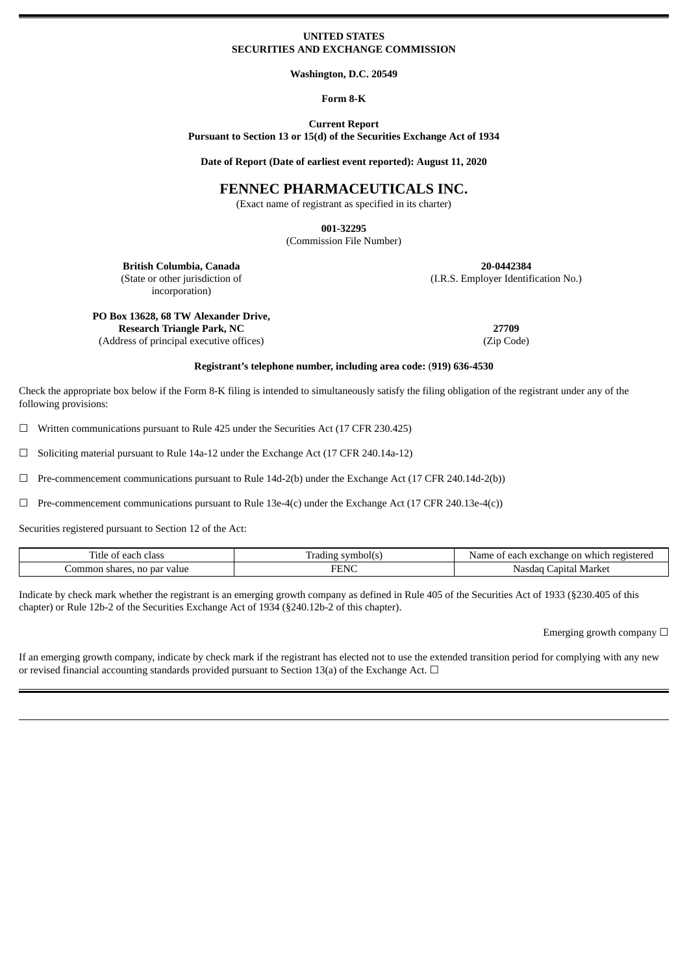#### **UNITED STATES SECURITIES AND EXCHANGE COMMISSION**

**Washington, D.C. 20549**

**Form 8-K**

**Current Report Pursuant to Section 13 or 15(d) of the Securities Exchange Act of 1934**

**Date of Report (Date of earliest event reported): August 11, 2020**

# **FENNEC PHARMACEUTICALS INC.**

(Exact name of registrant as specified in its charter)

**001-32295**

(Commission File Number)

(I.R.S. Employer Identification No.)

**British Columbia, Canada 20-0442384** (State or other jurisdiction of incorporation)

**PO Box 13628, 68 TW Alexander Drive,**

**Research Triangle Park, NC 27709**

(Address of principal executive offices) (Zip Code)

## **Registrant's telephone number, including area code:** (**919) 636-4530**

Check the appropriate box below if the Form 8-K filing is intended to simultaneously satisfy the filing obligation of the registrant under any of the following provisions:

 $\Box$  Written communications pursuant to Rule 425 under the Securities Act (17 CFR 230.425)

☐ Soliciting material pursuant to Rule 14a-12 under the Exchange Act (17 CFR 240.14a-12)

 $\Box$  Pre-commencement communications pursuant to Rule 14d-2(b) under the Exchange Act (17 CFR 240.14d-2(b))

 $\Box$  Pre-commencement communications pursuant to Rule 13e-4(c) under the Exchange Act (17 CFR 240.13e-4(c))

Securities registered pursuant to Section 12 of the Act:

| m.<br>'itle<br>class<br>ongh<br>eac                   | ع الدي<br>adıng       | $\sim$ $\sim$<br>registere<br>Name<br>rhange<br>$\alpha v$<br>, whic<br>r each<br>OH<br>FA |
|-------------------------------------------------------|-----------------------|--------------------------------------------------------------------------------------------|
| par value<br>omm.<br>no<br>res.<br>snar<br>10 D.<br>. | пп<br>T<br>. .<br>. . | Market<br>. .anıfal<br>.Nd<br>ומו ה                                                        |

Indicate by check mark whether the registrant is an emerging growth company as defined in Rule 405 of the Securities Act of 1933 (§230.405 of this chapter) or Rule 12b-2 of the Securities Exchange Act of 1934 (§240.12b-2 of this chapter).

Emerging growth company  $\Box$ 

If an emerging growth company, indicate by check mark if the registrant has elected not to use the extended transition period for complying with any new or revised financial accounting standards provided pursuant to Section 13(a) of the Exchange Act.  $\Box$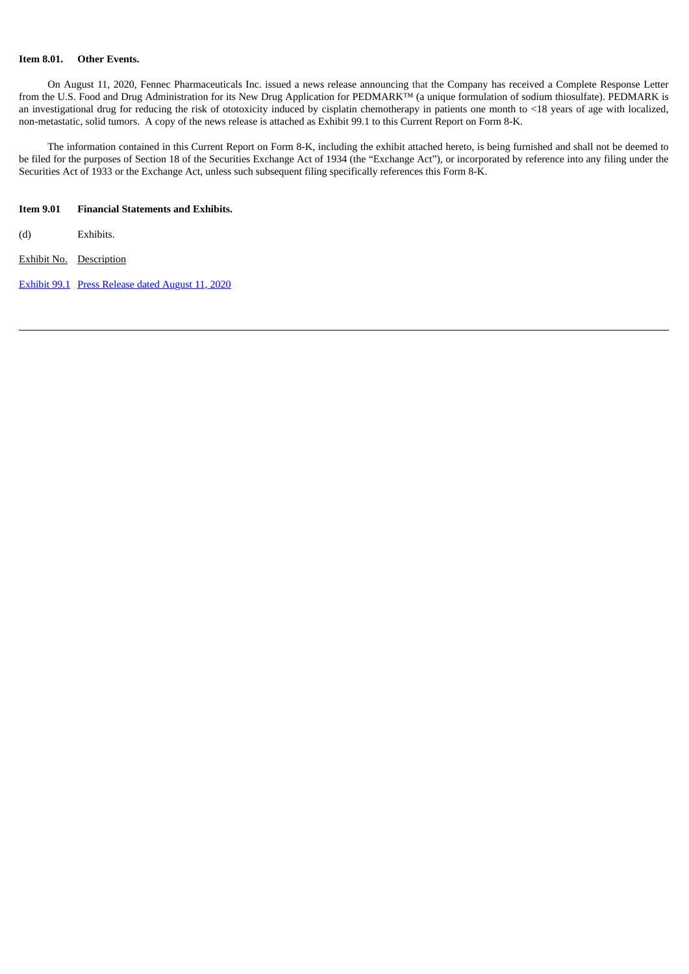# **Item 8.01. Other Events.**

On August 11, 2020, Fennec Pharmaceuticals Inc. issued a news release announcing that the Company has received a Complete Response Letter from the U.S. Food and Drug Administration for its New Drug Application for PEDMARK™ (a unique formulation of sodium thiosulfate). PEDMARK is an investigational drug for reducing the risk of ototoxicity induced by cisplatin chemotherapy in patients one month to <18 years of age with localized, non-metastatic, solid tumors. A copy of the news release is attached as Exhibit 99.1 to this Current Report on Form 8-K.

The information contained in this Current Report on Form 8-K, including the exhibit attached hereto, is being furnished and shall not be deemed to be filed for the purposes of Section 18 of the Securities Exchange Act of 1934 (the "Exchange Act"), or incorporated by reference into any filing under the Securities Act of 1933 or the Exchange Act, unless such subsequent filing specifically references this Form 8-K.

## **Item 9.01 Financial Statements and Exhibits.**

(d) Exhibits.

Exhibit No. Description

[Exhibit](#page-3-0) 99.1 Press [Release](#page-3-0) dated August 11, 2020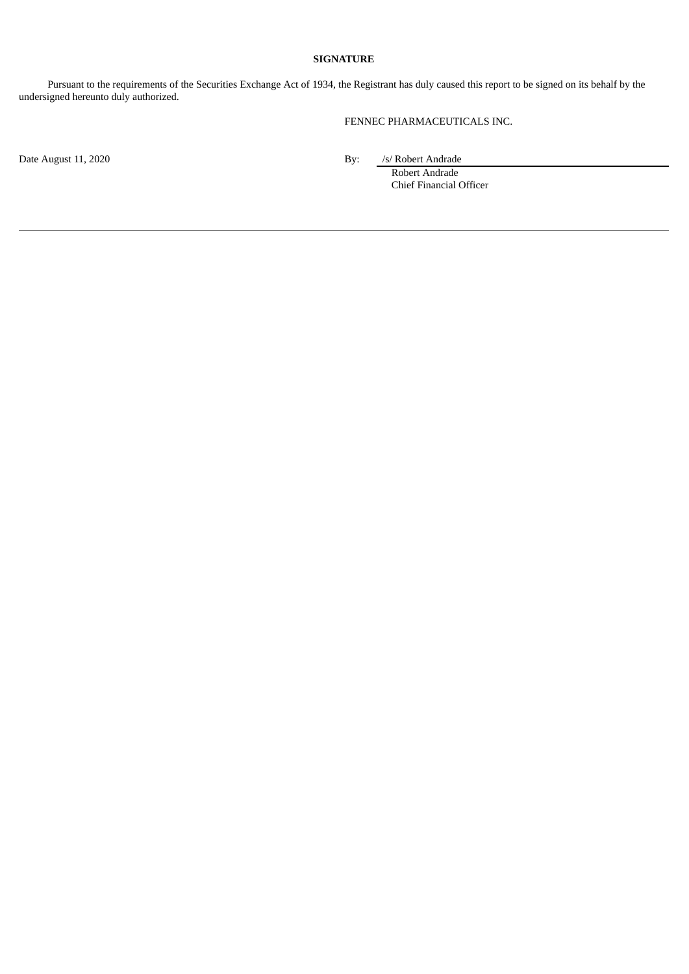# **SIGNATURE**

Pursuant to the requirements of the Securities Exchange Act of 1934, the Registrant has duly caused this report to be signed on its behalf by the undersigned hereunto duly authorized.

FENNEC PHARMACEUTICALS INC.

Date August 11, 2020 By: */s/ Robert Andrade* 

Robert Andrade Chief Financial Officer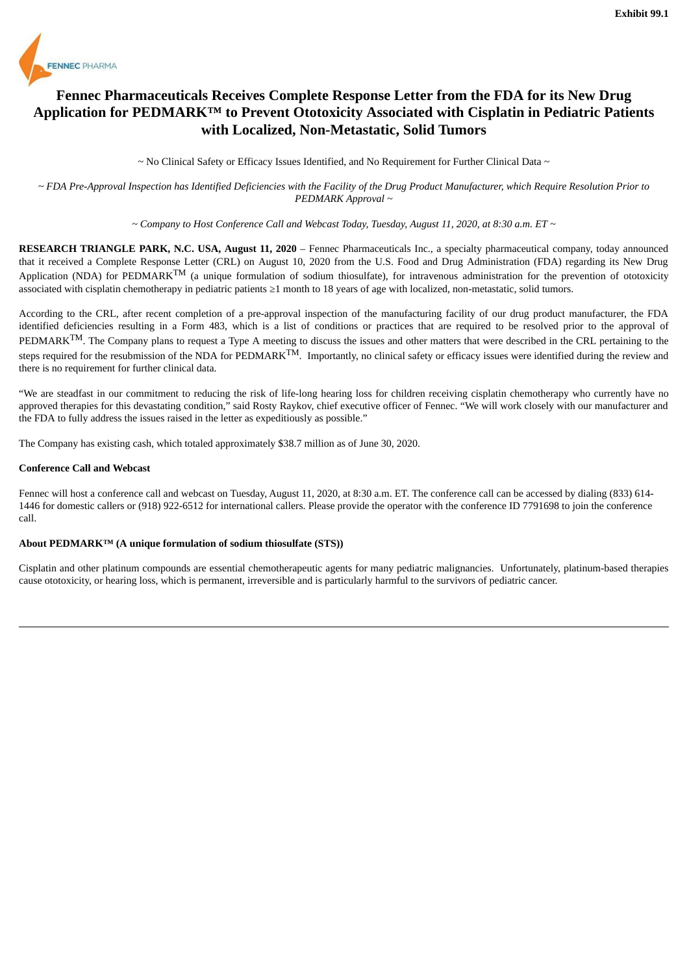<span id="page-3-0"></span>

# **Fennec Pharmaceuticals Receives Complete Response Letter from the FDA for its New Drug Application for PEDMARK™ to Prevent Ototoxicity Associated with Cisplatin in Pediatric Patients with Localized, Non-Metastatic, Solid Tumors**

 $\sim$  No Clinical Safety or Efficacy Issues Identified, and No Requirement for Further Clinical Data  $\sim$ 

~ FDA Pre-Approval Inspection has Identified Deficiencies with the Facility of the Drug Product Manufacturer, which Require Resolution Prior to *PEDMARK Approval ~*

*~ Company to Host Conference Call and Webcast Today, Tuesday, August 11, 2020, at 8:30 a.m. ET ~*

**RESEARCH TRIANGLE PARK, N.C. USA, August 11, 2020** – Fennec Pharmaceuticals Inc., a specialty pharmaceutical company, today announced that it received a Complete Response Letter (CRL) on August 10, 2020 from the U.S. Food and Drug Administration (FDA) regarding its New Drug Application (NDA) for PEDMARK $^{TM}$  (a unique formulation of sodium thiosulfate), for intravenous administration for the prevention of ototoxicity associated with cisplatin chemotherapy in pediatric patients ≥1 month to 18 years of age with localized, non-metastatic, solid tumors.

According to the CRL, after recent completion of a pre-approval inspection of the manufacturing facility of our drug product manufacturer, the FDA identified deficiencies resulting in a Form 483, which is a list of conditions or practices that are required to be resolved prior to the approval of  $PEDMARK^{TM}$ . The Company plans to request a Type A meeting to discuss the issues and other matters that were described in the CRL pertaining to the steps required for the resubmission of the NDA for PEDMARK<sup>TM</sup>. Importantly, no clinical safety or efficacy issues were identified during the review and there is no requirement for further clinical data.

"We are steadfast in our commitment to reducing the risk of life-long hearing loss for children receiving cisplatin chemotherapy who currently have no approved therapies for this devastating condition," said Rosty Raykov, chief executive officer of Fennec. "We will work closely with our manufacturer and the FDA to fully address the issues raised in the letter as expeditiously as possible."

The Company has existing cash, which totaled approximately \$38.7 million as of June 30, 2020.

#### **Conference Call and Webcast**

Fennec will host a conference call and webcast on Tuesday, August 11, 2020, at 8:30 a.m. ET. The conference call can be accessed by dialing (833) 614- 1446 for domestic callers or (918) 922-6512 for international callers. Please provide the operator with the conference ID 7791698 to join the conference call.

#### **About PEDMARK™ (A unique formulation of sodium thiosulfate (STS))**

Cisplatin and other platinum compounds are essential chemotherapeutic agents for many pediatric malignancies. Unfortunately, platinum-based therapies cause ototoxicity, or hearing loss, which is permanent, irreversible and is particularly harmful to the survivors of pediatric cancer.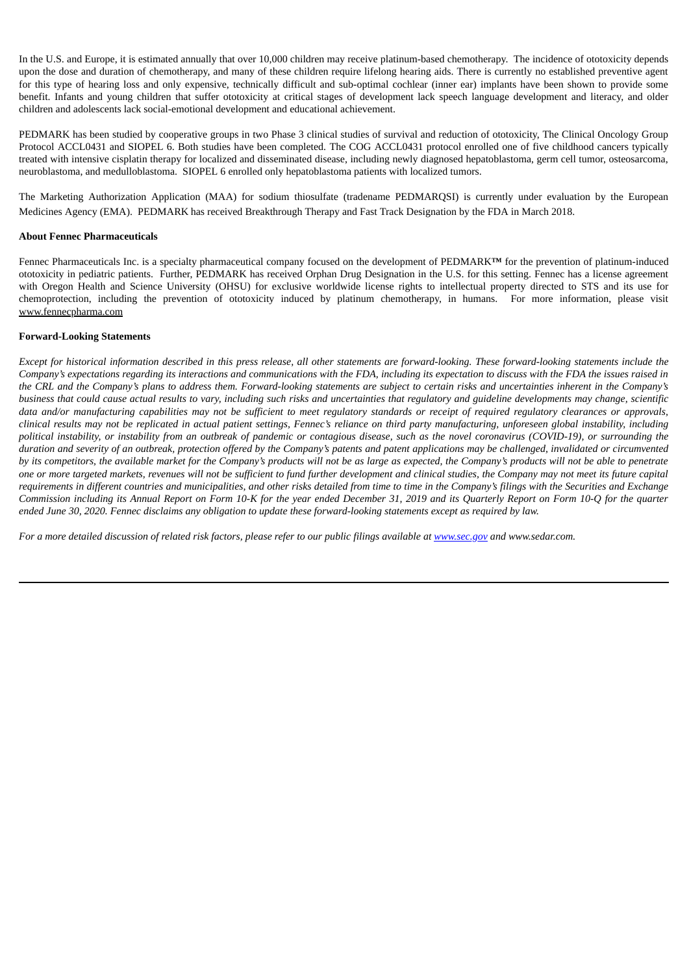In the U.S. and Europe, it is estimated annually that over 10,000 children may receive platinum-based chemotherapy. The incidence of ototoxicity depends upon the dose and duration of chemotherapy, and many of these children require lifelong hearing aids. There is currently no established preventive agent for this type of hearing loss and only expensive, technically difficult and sub-optimal cochlear (inner ear) implants have been shown to provide some benefit. Infants and young children that suffer ototoxicity at critical stages of development lack speech language development and literacy, and older children and adolescents lack social-emotional development and educational achievement.

PEDMARK has been studied by cooperative groups in two Phase 3 clinical studies of survival and reduction of ototoxicity, The Clinical Oncology Group Protocol ACCL0431 and SIOPEL 6. Both studies have been completed. The COG ACCL0431 protocol enrolled one of five childhood cancers typically treated with intensive cisplatin therapy for localized and disseminated disease, including newly diagnosed hepatoblastoma, germ cell tumor, osteosarcoma, neuroblastoma, and medulloblastoma. SIOPEL 6 enrolled only hepatoblastoma patients with localized tumors.

The Marketing Authorization Application (MAA) for sodium thiosulfate (tradename PEDMARQSI) is currently under evaluation by the European Medicines Agency (EMA). PEDMARK has received Breakthrough Therapy and Fast Track Designation by the FDA in March 2018.

#### **About Fennec Pharmaceuticals**

Fennec Pharmaceuticals Inc. is a specialty pharmaceutical company focused on the development of PEDMARK**™** for the prevention of platinum-induced ototoxicity in pediatric patients. Further, PEDMARK has received Orphan Drug Designation in the U.S. for this setting. Fennec has a license agreement with Oregon Health and Science University (OHSU) for exclusive worldwide license rights to intellectual property directed to STS and its use for chemoprotection, including the prevention of ototoxicity induced by platinum chemotherapy, in humans. For more information, please visit www.fennecpharma.com

#### **Forward-Looking Statements**

Except for historical information described in this press release, all other statements are forward-looking. These forward-looking statements include the Company's expectations regarding its interactions and communications with the FDA, including its expectation to discuss with the FDA the issues raised in the CRL and the Company's plans to address them. Forward-looking statements are subject to certain risks and uncertainties inherent in the Company's business that could cause actual results to vary, including such risks and uncertainties that regulatory and guideline developments may change, scientific data and/or manufacturing capabilities may not be sufficient to meet regulatory standards or receipt of required regulatory clearances or approvals, clinical results may not be replicated in actual patient settings, Fennec's reliance on third party manufacturing, unforeseen global instability, including political instability, or instability from an outbreak of pandemic or contagious disease, such as the novel coronavirus (COVID-19), or surrounding the duration and severity of an outbreak, protection offered by the Company's patents and patent applications may be challenged, invalidated or circumvented by its competitors, the available market for the Company's products will not be as large as expected, the Company's products will not be able to penetrate one or more targeted markets, revenues will not be sufficient to fund further development and clinical studies, the Company may not meet its future capital requirements in different countries and municipalities, and other risks detailed from time to time in the Company's filings with the Securities and Exchange Commission including its Annual Report on Form 10-K for the year ended December 31, 2019 and its Quarterly Report on Form 10-Q for the quarter ended June 30, 2020. Fennec disclaims any obligation to update these forward-looking statements except as required by law.

For a more detailed discussion of related risk factors, please refer to our public filings available at www.sec.qov and www.sedar.com.